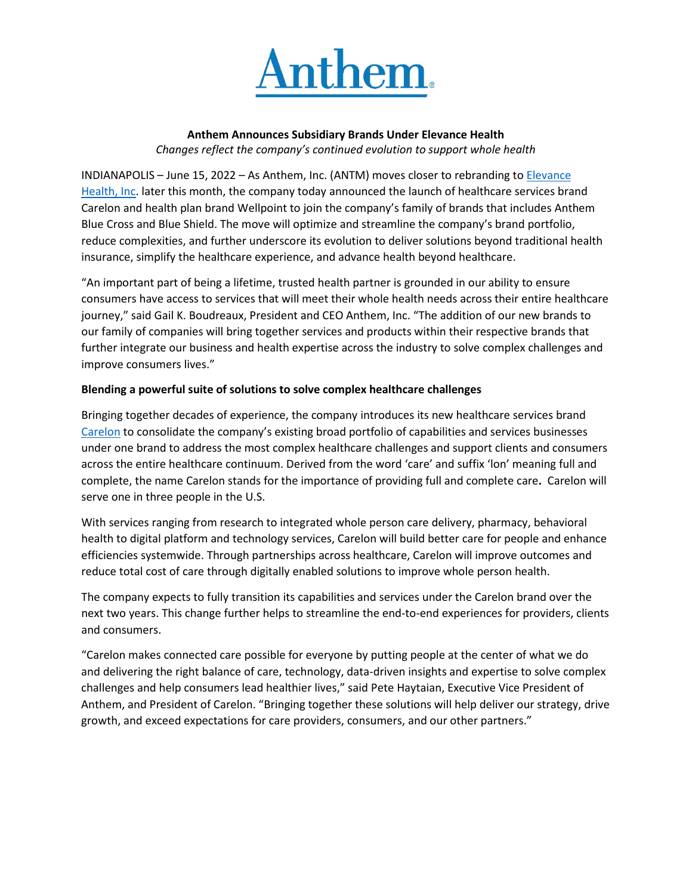

## **Anthem Announces Subsidiary Brands Under Elevance Health** *Changes reflect the company's continued evolution to support whole health*

INDIANAPOLIS – June 15, 2022 – As Anthem, Inc. (ANTM) moves closer to rebranding to [Elevance](https://www.elevancehealth.com/)  [Health, Inc.](https://www.elevancehealth.com/) later this month, the company today announced the launch of healthcare services brand Carelon and health plan brand Wellpoint to join the company's family of brands that includes Anthem Blue Cross and Blue Shield. The move will optimize and streamline the company's brand portfolio, reduce complexities, and further underscore its evolution to deliver solutions beyond traditional health insurance, simplify the healthcare experience, and advance health beyond healthcare.

"An important part of being a lifetime, trusted health partner is grounded in our ability to ensure consumers have access to services that will meet their whole health needs across their entire healthcare journey," said Gail K. Boudreaux, President and CEO Anthem, Inc. "The addition of our new brands to our family of companies will bring together services and products within their respective brands that further integrate our business and health expertise across the industry to solve complex challenges and improve consumers lives."

## **Blending a powerful suite of solutions to solve complex healthcare challenges**

Bringing together decades of experience, the company introduces its new healthcare services brand [Carelon](http://www.carelon.com/) to consolidate the company's existing broad portfolio of capabilities and services businesses under one brand to address the most complex healthcare challenges and support clients and consumers across the entire healthcare continuum. Derived from the word 'care' and suffix 'lon' meaning full and complete, the name Carelon stands for the importance of providing full and complete care**.** Carelon will serve one in three people in the U.S.

With services ranging from research to integrated whole person care delivery, pharmacy, behavioral health to digital platform and technology services, Carelon will build better care for people and enhance efficiencies systemwide. Through partnerships across healthcare, Carelon will improve outcomes and reduce total cost of care through digitally enabled solutions to improve whole person health.

The company expects to fully transition its capabilities and services under the Carelon brand over the next two years. This change further helps to streamline the end-to-end experiences for providers, clients and consumers.

"Carelon makes connected care possible for everyone by putting people at the center of what we do and delivering the right balance of care, technology, data-driven insights and expertise to solve complex challenges and help consumers lead healthier lives," said Pete Haytaian, Executive Vice President of Anthem, and President of Carelon. "Bringing together these solutions will help deliver our strategy, drive growth, and exceed expectations for care providers, consumers, and our other partners."